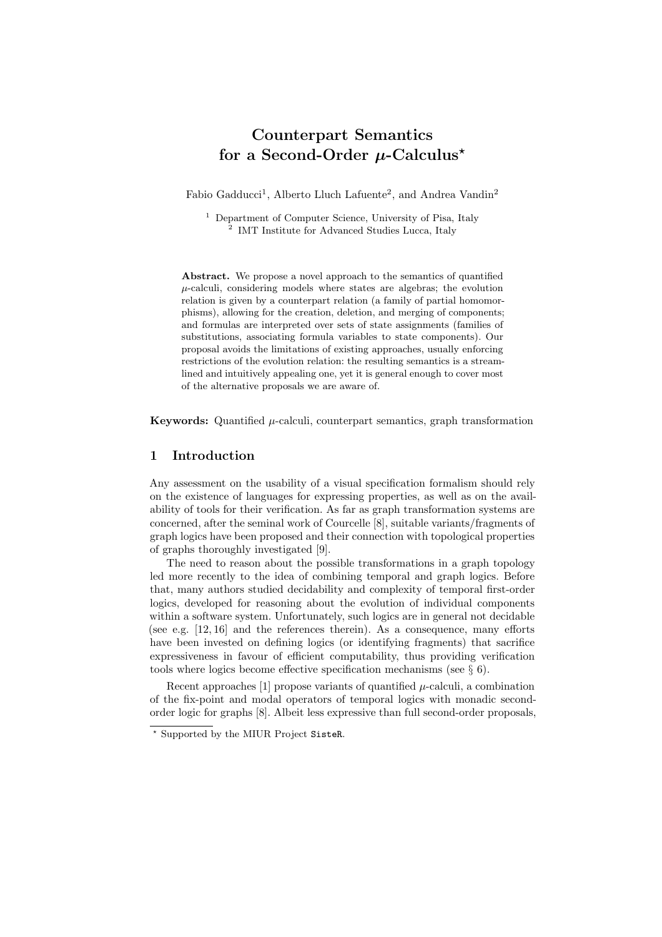# Counterpart Semantics for a Second-Order  $\mu$ -Calculus<sup>\*</sup>

Fabio Gadducci<sup>1</sup>, Alberto Lluch Lafuente<sup>2</sup>, and Andrea Vandin<sup>2</sup>

<sup>1</sup> Department of Computer Science, University of Pisa, Italy 2 IMT Institute for Advanced Studies Lucca, Italy

Abstract. We propose a novel approach to the semantics of quantified  $\mu$ -calculi, considering models where states are algebras; the evolution relation is given by a counterpart relation (a family of partial homomorphisms), allowing for the creation, deletion, and merging of components; and formulas are interpreted over sets of state assignments (families of substitutions, associating formula variables to state components). Our proposal avoids the limitations of existing approaches, usually enforcing restrictions of the evolution relation: the resulting semantics is a streamlined and intuitively appealing one, yet it is general enough to cover most of the alternative proposals we are aware of.

**Keywords:** Quantified  $\mu$ -calculi, counterpart semantics, graph transformation

## 1 Introduction

Any assessment on the usability of a visual specification formalism should rely on the existence of languages for expressing properties, as well as on the availability of tools for their verification. As far as graph transformation systems are concerned, after the seminal work of Courcelle [8], suitable variants/fragments of graph logics have been proposed and their connection with topological properties of graphs thoroughly investigated [9].

The need to reason about the possible transformations in a graph topology led more recently to the idea of combining temporal and graph logics. Before that, many authors studied decidability and complexity of temporal first-order logics, developed for reasoning about the evolution of individual components within a software system. Unfortunately, such logics are in general not decidable (see e.g. [12, 16] and the references therein). As a consequence, many efforts have been invested on defining logics (or identifying fragments) that sacrifice expressiveness in favour of efficient computability, thus providing verification tools where logics become effective specification mechanisms (see  $\S 6$ ).

Recent approaches  $[1]$  propose variants of quantified  $\mu$ -calculi, a combination of the fix-point and modal operators of temporal logics with monadic secondorder logic for graphs [8]. Albeit less expressive than full second-order proposals,

<sup>⋆</sup> Supported by the MIUR Project SisteR.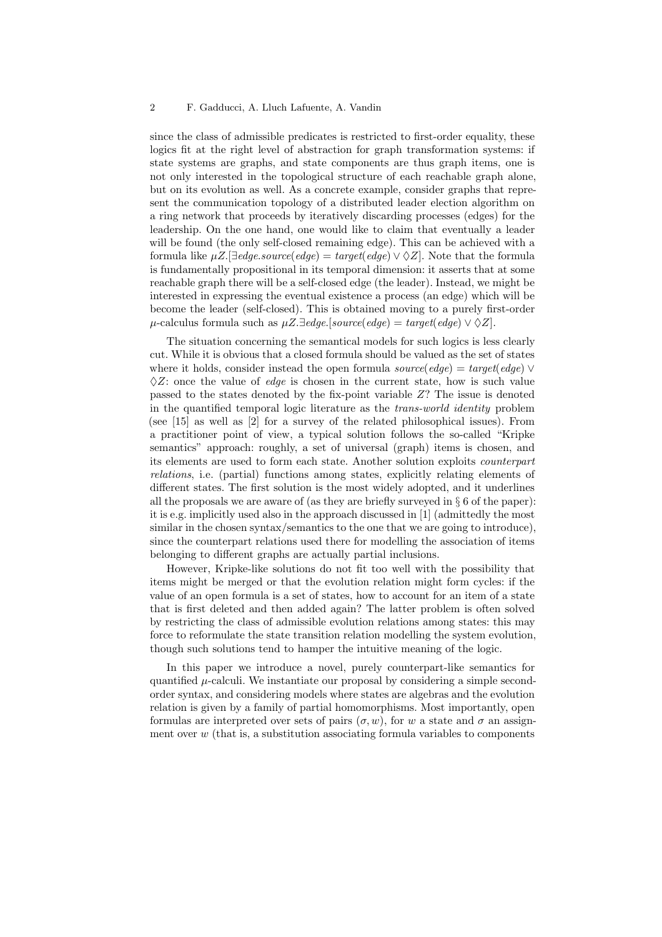since the class of admissible predicates is restricted to first-order equality, these logics fit at the right level of abstraction for graph transformation systems: if state systems are graphs, and state components are thus graph items, one is not only interested in the topological structure of each reachable graph alone, but on its evolution as well. As a concrete example, consider graphs that represent the communication topology of a distributed leader election algorithm on a ring network that proceeds by iteratively discarding processes (edges) for the leadership. On the one hand, one would like to claim that eventually a leader will be found (the only self-closed remaining edge). This can be achieved with a formula like  $\mu Z.\equiv$   $\exists$  edge.source(edge) = target(edge)  $\vee \Diamond Z$ . Note that the formula is fundamentally propositional in its temporal dimension: it asserts that at some reachable graph there will be a self-closed edge (the leader). Instead, we might be interested in expressing the eventual existence a process (an edge) which will be become the leader (self-closed). This is obtained moving to a purely first-order  $\mu$ -calculus formula such as  $\mu Z.\exists edge.[source(edge) = target(edge) \vee \Diamond Z].$ 

The situation concerning the semantical models for such logics is less clearly cut. While it is obvious that a closed formula should be valued as the set of states where it holds, consider instead the open formula source(edge) = target(edge)  $\vee$  $\Diamond Z$ : once the value of *edge* is chosen in the current state, how is such value passed to the states denoted by the fix-point variable Z? The issue is denoted in the quantified temporal logic literature as the trans-world identity problem (see [15] as well as [2] for a survey of the related philosophical issues). From a practitioner point of view, a typical solution follows the so-called "Kripke semantics" approach: roughly, a set of universal (graph) items is chosen, and its elements are used to form each state. Another solution exploits counterpart relations, i.e. (partial) functions among states, explicitly relating elements of different states. The first solution is the most widely adopted, and it underlines all the proposals we are aware of (as they are briefly surveyed in  $\S 6$  of the paper): it is e.g. implicitly used also in the approach discussed in [1] (admittedly the most similar in the chosen syntax/semantics to the one that we are going to introduce). since the counterpart relations used there for modelling the association of items belonging to different graphs are actually partial inclusions.

However, Kripke-like solutions do not fit too well with the possibility that items might be merged or that the evolution relation might form cycles: if the value of an open formula is a set of states, how to account for an item of a state that is first deleted and then added again? The latter problem is often solved by restricting the class of admissible evolution relations among states: this may force to reformulate the state transition relation modelling the system evolution, though such solutions tend to hamper the intuitive meaning of the logic.

In this paper we introduce a novel, purely counterpart-like semantics for quantified  $\mu$ -calculi. We instantiate our proposal by considering a simple secondorder syntax, and considering models where states are algebras and the evolution relation is given by a family of partial homomorphisms. Most importantly, open formulas are interpreted over sets of pairs  $(\sigma, w)$ , for w a state and  $\sigma$  an assignment over  $w$  (that is, a substitution associating formula variables to components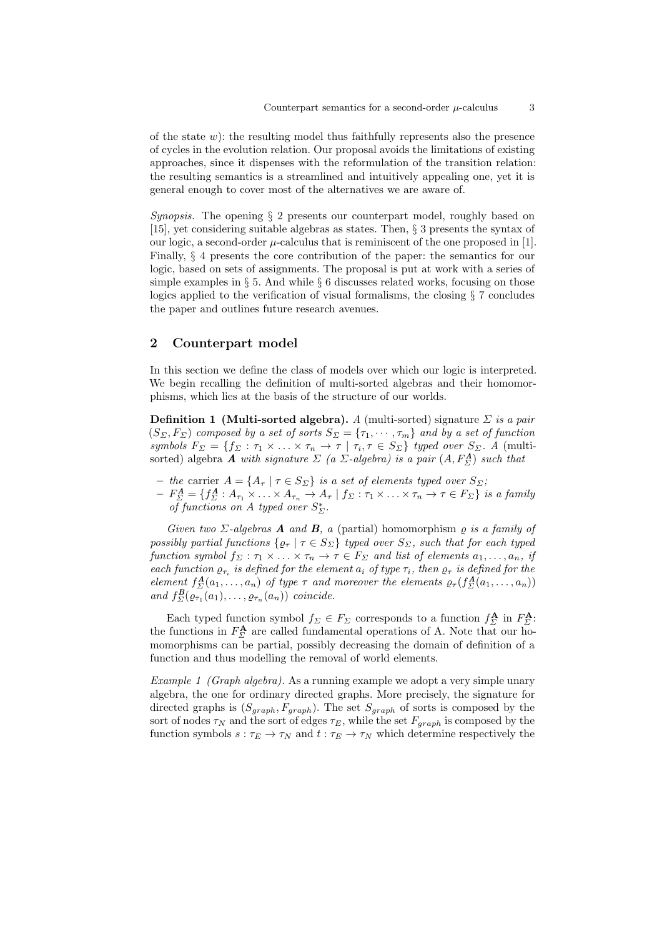of the state  $w$ ): the resulting model thus faithfully represents also the presence of cycles in the evolution relation. Our proposal avoids the limitations of existing approaches, since it dispenses with the reformulation of the transition relation: the resulting semantics is a streamlined and intuitively appealing one, yet it is general enough to cover most of the alternatives we are aware of.

Synopsis. The opening  $\S 2$  presents our counterpart model, roughly based on [15], yet considering suitable algebras as states. Then, § 3 presents the syntax of our logic, a second-order  $\mu$ -calculus that is reminiscent of the one proposed in [1]. Finally, § 4 presents the core contribution of the paper: the semantics for our logic, based on sets of assignments. The proposal is put at work with a series of simple examples in § 5. And while § 6 discusses related works, focusing on those logics applied to the verification of visual formalisms, the closing § 7 concludes the paper and outlines future research avenues.

## 2 Counterpart model

In this section we define the class of models over which our logic is interpreted. We begin recalling the definition of multi-sorted algebras and their homomorphisms, which lies at the basis of the structure of our worlds.

Definition 1 (Multi-sorted algebra). A (multi-sorted) signature  $\Sigma$  is a pair  $(S_{\Sigma}, F_{\Sigma})$  composed by a set of sorts  $S_{\Sigma} = {\tau_1, \cdots, \tau_m}$  and by a set of function symbols  $F_{\Sigma} = \{f_{\Sigma} : \tau_1 \times \ldots \times \tau_n \to \tau \mid \tau_i, \tau \in S_{\Sigma}\}\$  typed over  $S_{\Sigma}$ . A (multisorted) algebra  $\overline{A}$  with signature  $\Sigma$  (a  $\Sigma$ -algebra) is a pair  $(A, F_{\Sigma}^{\overline{A}})$  such that

- the carrier  $A = \{A_\tau \mid \tau \in S_\Sigma\}$  is a set of elements typed over  $S_\Sigma$ ;
- $-F_{\Sigma}^{A} = \{f_{\Sigma}^{A}: A_{\tau_1} \times \ldots \times A_{\tau_n} \to A_{\tau} \mid f_{\Sigma} : \tau_1 \times \ldots \times \tau_n \to \tau \in F_{\Sigma}\}$  is a family of functions on A typed over  $S_{\Sigma}^*$ .

Given two  $\Sigma$ -algebras **A** and **B**, a (partial) homomorphism  $\rho$  is a family of possibly partial functions  $\{\rho_{\tau} \mid \tau \in S_{\Sigma}\}\$  typed over  $S_{\Sigma}$ , such that for each typed function symbol  $f_{\Sigma} : \tau_1 \times ... \times \tau_n \to \tau \in F_{\Sigma}$  and list of elements  $a_1, ..., a_n$ , if each function  $\varrho_{\tau_i}$  is defined for the element  $a_i$  of type  $\tau_i$ , then  $\varrho_{\tau}$  is defined for the element  $f_{\Sigma}^{A}(a_1,\ldots,a_n)$  of type  $\tau$  and moreover the elements  $\varrho_{\tau}(f_{\Sigma}^{A}(a_1,\ldots,a_n))$ and  $f_{\Sigma}(\varrho_{\tau_1}(a_1),\ldots,\varrho_{\tau_n}(a_n))$  coincide.

Each typed function symbol  $f_{\Sigma} \in F_{\Sigma}$  corresponds to a function  $f_{\Sigma}^{\mathbf{A}}$  in  $F_{\Sigma}^{\mathbf{A}}$ : the functions in  $F_{\Sigma}^{\mathbf{A}}$  are called fundamental operations of A. Note that our homomorphisms can be partial, possibly decreasing the domain of definition of a function and thus modelling the removal of world elements.

Example 1 (Graph algebra). As a running example we adopt a very simple unary algebra, the one for ordinary directed graphs. More precisely, the signature for directed graphs is  $(S_{graph}, F_{graph})$ . The set  $S_{graph}$  of sorts is composed by the sort of nodes  $\tau_N$  and the sort of edges  $\tau_E$ , while the set  $F_{graph}$  is composed by the function symbols  $s : \tau_E \to \tau_N$  and  $t : \tau_E \to \tau_N$  which determine respectively the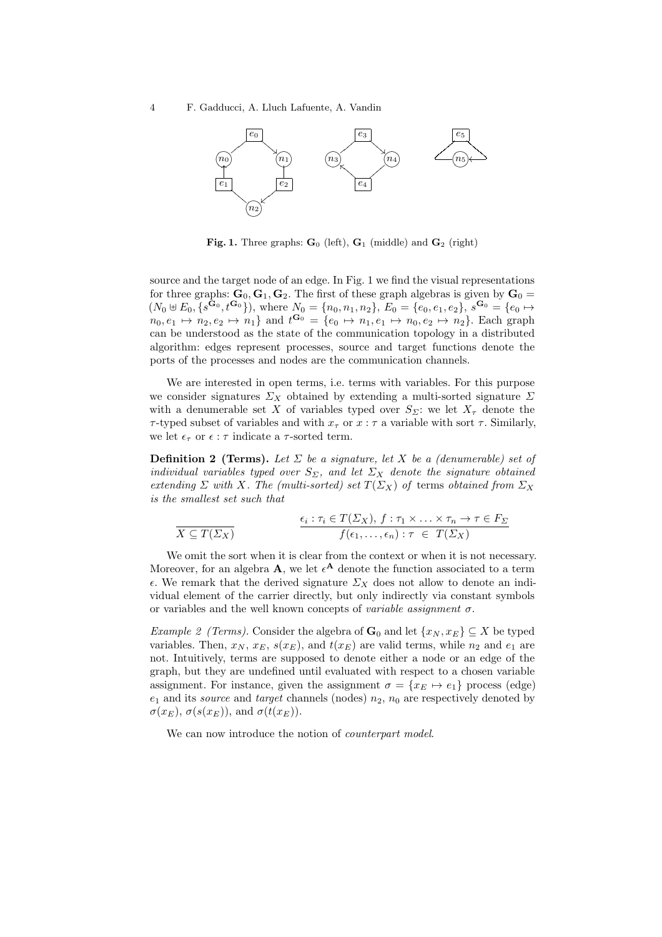4 F. Gadducci, A. Lluch Lafuente, A. Vandin



**Fig. 1.** Three graphs:  $G_0$  (left),  $G_1$  (middle) and  $G_2$  (right)

source and the target node of an edge. In Fig. 1 we find the visual representations for three graphs:  $\mathbf{G}_0$ ,  $\mathbf{G}_1$ ,  $\mathbf{G}_2$ . The first of these graph algebras is given by  $\mathbf{G}_0$  =  $(N_0 \oplus E_0, \{s^{\mathbf{G}_0}, t^{\mathbf{G}_0}\}),$  where  $N_0 = \{n_0, n_1, n_2\}, E_0 = \{e_0, e_1, e_2\}, s^{\mathbf{G}_0} = \{e_0 \mapsto$  $n_0, e_1 \mapsto n_2, e_2 \mapsto n_1$  and  $t^{\mathbf{G}_0} = \{e_0 \mapsto n_1, e_1 \mapsto n_0, e_2 \mapsto n_2\}$ . Each graph can be understood as the state of the communication topology in a distributed algorithm: edges represent processes, source and target functions denote the ports of the processes and nodes are the communication channels.

We are interested in open terms, i.e. terms with variables. For this purpose we consider signatures  $\Sigma_X$  obtained by extending a multi-sorted signature  $\Sigma$ with a denumerable set X of variables typed over  $S_{\Sigma}$ : we let  $X_{\tau}$  denote the  $\tau$ -typed subset of variables and with  $x_{\tau}$  or  $x : \tau$  a variable with sort  $\tau$ . Similarly, we let  $\epsilon_{\tau}$  or  $\epsilon : \tau$  indicate a  $\tau$ -sorted term.

**Definition 2 (Terms).** Let  $\Sigma$  be a signature, let X be a (denumerable) set of individual variables typed over  $S_{\Sigma}$ , and let  $\Sigma_X$  denote the signature obtained extending  $\Sigma$  with X. The (multi-sorted) set  $T(\Sigma_X)$  of terms obtained from  $\Sigma_X$ is the smallest set such that

$$
\frac{\epsilon_i : \tau_i \in T(\Sigma_X), \ f : \tau_1 \times \ldots \times \tau_n \to \tau \in F_\Sigma}{f(\epsilon_1, \ldots, \epsilon_n) : \tau \in T(\Sigma_X)}
$$

We omit the sort when it is clear from the context or when it is not necessary. Moreover, for an algebra **A**, we let  $\epsilon^{\mathbf{A}}$  denote the function associated to a term  $\epsilon$ . We remark that the derived signature  $\Sigma_X$  does not allow to denote an individual element of the carrier directly, but only indirectly via constant symbols or variables and the well known concepts of *variable assignment*  $\sigma$ .

Example 2 (Terms). Consider the algebra of  $\mathbf{G}_0$  and let  $\{x_N, x_E\} \subseteq X$  be typed variables. Then,  $x_N$ ,  $x_E$ ,  $s(x_E)$ , and  $t(x_E)$  are valid terms, while  $n_2$  and  $e_1$  are not. Intuitively, terms are supposed to denote either a node or an edge of the graph, but they are undefined until evaluated with respect to a chosen variable assignment. For instance, given the assignment  $\sigma = \{x_E \mapsto e_1\}$  process (edge)  $e_1$  and its source and target channels (nodes)  $n_2$ ,  $n_0$  are respectively denoted by  $\sigma(x_E)$ ,  $\sigma(s(x_E))$ , and  $\sigma(t(x_E))$ .

We can now introduce the notion of counterpart model.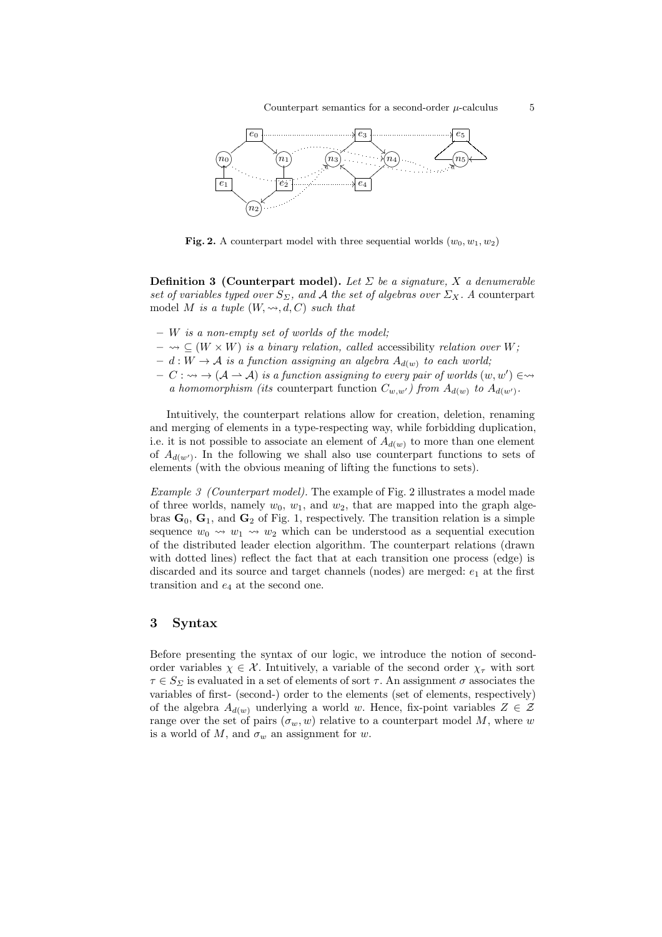

Fig. 2. A counterpart model with three sequential worlds  $(w_0, w_1, w_2)$ 

**Definition 3 (Counterpart model).** Let  $\Sigma$  be a signature, X a denumerable set of variables typed over  $S_{\Sigma}$ , and A the set of algebras over  $\Sigma_X$ . A counterpart model M is a tuple  $(W, \rightsquigarrow, d, C)$  such that

- $W$  is a non-empty set of worlds of the model;
- $-\rightsquigarrow \subseteq (W \times W)$  is a binary relation, called accessibility relation over W;
- $-$  d :  $W \rightarrow \mathcal{A}$  is a function assigning an algebra  $A_{d(w)}$  to each world;
- $C : \leadsto \to (\mathcal{A} \to \mathcal{A})$  is a function assigning to every pair of worlds  $(w, w') \in \leadsto$ a homomorphism (its counterpart function  $C_{w,w'}$ ) from  $A_{d(w)}$  to  $A_{d(w')}$ .

Intuitively, the counterpart relations allow for creation, deletion, renaming and merging of elements in a type-respecting way, while forbidding duplication, i.e. it is not possible to associate an element of  $A_{d(w)}$  to more than one element of  $A_{d(w')}$ . In the following we shall also use counterpart functions to sets of elements (with the obvious meaning of lifting the functions to sets).

Example 3 (Counterpart model). The example of Fig. 2 illustrates a model made of three worlds, namely  $w_0$ ,  $w_1$ , and  $w_2$ , that are mapped into the graph algebras  $\mathbf{G}_0$ ,  $\mathbf{G}_1$ , and  $\mathbf{G}_2$  of Fig. 1, respectively. The transition relation is a simple sequence  $w_0 \rightarrow w_1 \rightarrow w_2$  which can be understood as a sequential execution of the distributed leader election algorithm. The counterpart relations (drawn with dotted lines) reflect the fact that at each transition one process (edge) is discarded and its source and target channels (nodes) are merged:  $e_1$  at the first transition and  $e_4$  at the second one.

## 3 Syntax

Before presenting the syntax of our logic, we introduce the notion of secondorder variables  $\chi \in \mathcal{X}$ . Intuitively, a variable of the second order  $\chi_{\tau}$  with sort  $\tau \in S_{\Sigma}$  is evaluated in a set of elements of sort  $\tau$ . An assignment  $\sigma$  associates the variables of first- (second-) order to the elements (set of elements, respectively) of the algebra  $A_{d(w)}$  underlying a world w. Hence, fix-point variables  $Z \in \mathcal{Z}$ range over the set of pairs  $(\sigma_w, w)$  relative to a counterpart model M, where w is a world of  $M$ , and  $\sigma_w$  an assignment for  $w$ .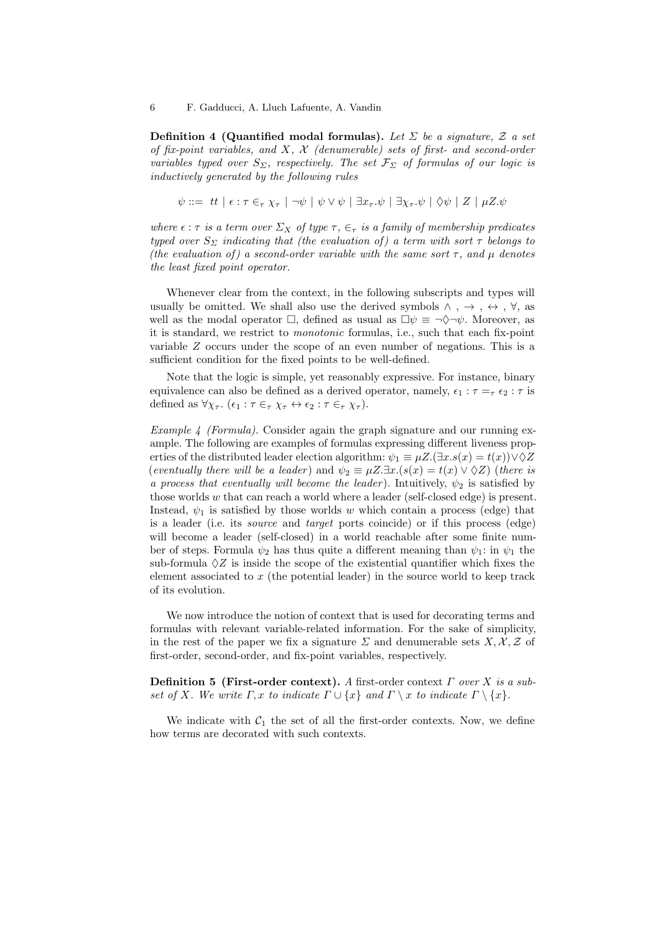Definition 4 (Quantified modal formulas). Let  $\Sigma$  be a signature,  $\mathcal Z$  a set of fix-point variables, and  $X$ ,  $X$  (denumerable) sets of first- and second-order variables typed over  $S_{\Sigma}$ , respectively. The set  $\mathcal{F}_{\Sigma}$  of formulas of our logic is inductively generated by the following rules

 $\psi ::= tt \mid \epsilon : \tau \in_{\tau} \chi_{\tau} \mid \neg \psi \mid \psi \vee \psi \mid \exists x_{\tau} . \psi \mid \exists \chi_{\tau} . \psi \mid \Diamond \psi \mid Z \mid \mu Z. \psi$ 

where  $\epsilon : \tau$  is a term over  $\Sigma_X$  of type  $\tau, \epsilon_{\tau}$  is a family of membership predicates typed over  $S_{\Sigma}$  indicating that (the evaluation of) a term with sort  $\tau$  belongs to (the evaluation of) a second-order variable with the same sort  $\tau$ , and  $\mu$  denotes the least fixed point operator.

Whenever clear from the context, in the following subscripts and types will usually be omitted. We shall also use the derived symbols  $\land$ ,  $\rightarrow$ ,  $\leftrightarrow$ ,  $\forall$ , as well as the modal operator  $\Box$ , defined as usual as  $\Box \psi \equiv \neg \Diamond \neg \psi$ . Moreover, as it is standard, we restrict to monotonic formulas, i.e., such that each fix-point variable Z occurs under the scope of an even number of negations. This is a sufficient condition for the fixed points to be well-defined.

Note that the logic is simple, yet reasonably expressive. For instance, binary equivalence can also be defined as a derived operator, namely,  $\epsilon_1 : \tau = \epsilon_2 : \tau$  is defined as  $\forall \chi_{\tau}$ .  $(\epsilon_1 : \tau \in_{\tau} \chi_{\tau} \leftrightarrow \epsilon_2 : \tau \in_{\tau} \chi_{\tau}).$ 

Example  $\frac{4}{7}$  (Formula). Consider again the graph signature and our running example. The following are examples of formulas expressing different liveness properties of the distributed leader election algorithm:  $\psi_1 \equiv \mu Z.(\exists x . s(x) = t(x)) \vee \Diamond Z$ (eventually there will be a leader) and  $\psi_2 \equiv \mu Z. \exists x.(s(x) = t(x) \vee \Diamond Z)$  (there is a process that eventually will become the leader). Intuitively,  $\psi_2$  is satisfied by those worlds w that can reach a world where a leader (self-closed edge) is present. Instead,  $\psi_1$  is satisfied by those worlds w which contain a process (edge) that is a leader (i.e. its source and target ports coincide) or if this process (edge) will become a leader (self-closed) in a world reachable after some finite number of steps. Formula  $\psi_2$  has thus quite a different meaning than  $\psi_1$ : in  $\psi_1$  the sub-formula  $\Diamond Z$  is inside the scope of the existential quantifier which fixes the element associated to  $x$  (the potential leader) in the source world to keep track of its evolution.

We now introduce the notion of context that is used for decorating terms and formulas with relevant variable-related information. For the sake of simplicity, in the rest of the paper we fix a signature  $\Sigma$  and denumerable sets  $X, X, Z$  of first-order, second-order, and fix-point variables, respectively.

**Definition 5 (First-order context).** A first-order context  $\Gamma$  over  $X$  is a subset of X. We write  $\Gamma$ , x to indicate  $\Gamma \cup \{x\}$  and  $\Gamma \setminus x$  to indicate  $\Gamma \setminus \{x\}$ .

We indicate with  $C_1$  the set of all the first-order contexts. Now, we define how terms are decorated with such contexts.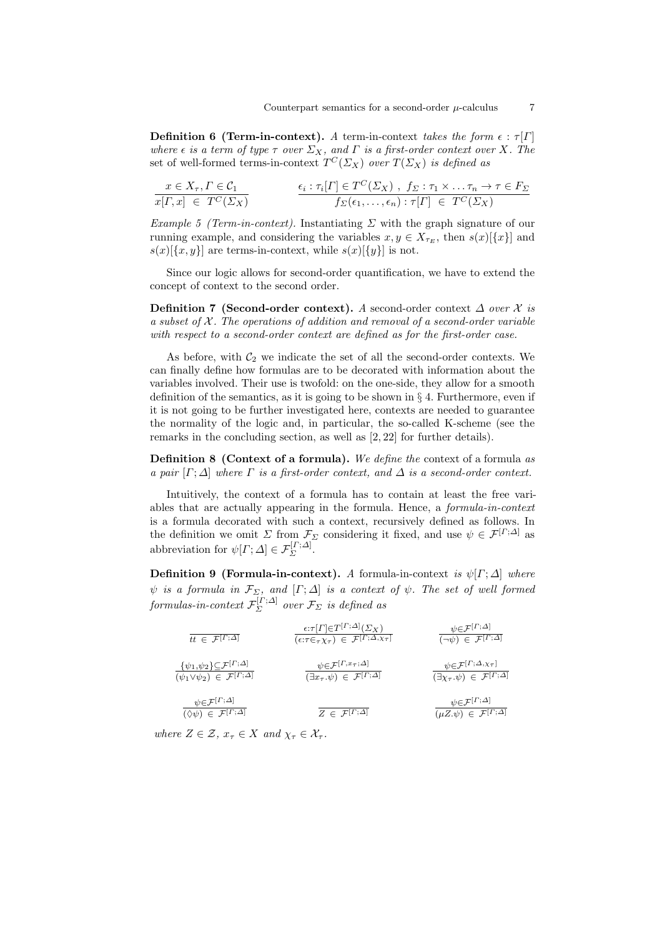**Definition 6 (Term-in-context).** A term-in-context takes the form  $\epsilon$ :  $\tau[T]$ where  $\epsilon$  is a term of type  $\tau$  over  $\Sigma_X$ , and  $\Gamma$  is a first-order context over X. The set of well-formed terms-in-context  $T^C(\Sigma_X)$  over  $T(\Sigma_X)$  is defined as

$$
\frac{x \in X_{\tau}, \Gamma \in \mathcal{C}_1}{x[\Gamma, x] \in T^C(\Sigma_X)} \qquad \frac{\epsilon_i : \tau_i[\Gamma] \in T^C(\Sigma_X), \ f_{\Sigma} : \tau_1 \times \dots \tau_n \to \tau \in F_{\Sigma}}{f_{\Sigma}(\epsilon_1, \dots, \epsilon_n) : \tau[\Gamma] \in T^C(\Sigma_X)}
$$

Example 5 (Term-in-context). Instantiating  $\Sigma$  with the graph signature of our running example, and considering the variables  $x, y \in X_{\tau_E}$ , then  $s(x)[\{x\}]$  and  $s(x)[\{x, y\}]$  are terms-in-context, while  $s(x)[\{y\}]$  is not.

Since our logic allows for second-order quantification, we have to extend the concept of context to the second order.

**Definition 7 (Second-order context).** A second-order context  $\Delta$  over  $\mathcal X$  is a subset of  $X$ . The operations of addition and removal of a second-order variable with respect to a second-order context are defined as for the first-order case.

As before, with  $C_2$  we indicate the set of all the second-order contexts. We can finally define how formulas are to be decorated with information about the variables involved. Their use is twofold: on the one-side, they allow for a smooth definition of the semantics, as it is going to be shown in  $\S 4$ . Furthermore, even if it is not going to be further investigated here, contexts are needed to guarantee the normality of the logic and, in particular, the so-called K-scheme (see the remarks in the concluding section, as well as [2, 22] for further details).

Definition 8 (Context of a formula). We define the context of a formula as a pair  $[\Gamma; \Delta]$  where  $\Gamma$  is a first-order context, and  $\Delta$  is a second-order context.

Intuitively, the context of a formula has to contain at least the free variables that are actually appearing in the formula. Hence, a formula-in-context is a formula decorated with such a context, recursively defined as follows. In the definition we omit  $\Sigma$  from  $\mathcal{F}_{\Sigma}$  considering it fixed, and use  $\psi \in \mathcal{F}^{[r;\Delta]}$  as abbreviation for  $\psi[\Gamma; \Delta] \in \mathcal{F}_{\Sigma}^{[\Gamma; \Delta]}$ .

**Definition 9 (Formula-in-context).** A formula-in-context is  $\psi[\Gamma;\Delta]$  where  $\psi$  is a formula in  $\mathcal{F}_\Sigma$ , and  $[\Gamma;\Delta]$  is a context of  $\psi$ . The set of well formed  ${\it formulas-in\text{-}context}\; \mathcal{F}_{\Sigma}^{[\varGamma;\Delta]}\; \mathit{over}\; \mathcal{F}_{\Sigma}\; \mathit{is}\; \mathit{defined}\; \mathit{as}$ 

| $tt \in \overline{\mathcal{F}^{[\Gamma;\Delta]}}$                                                                                          | $\epsilon: \tau[\Gamma] \in T^{[\Gamma; \Delta]}(\Sigma_X)$<br>$(\epsilon : \tau \in \tau \chi \tau) \in \mathcal{F}^{[\Gamma ; \Delta , \chi \tau]}$ | $\psi {\in} \mathcal{F}^{[\varGamma;\varDelta]}$<br>$(\neg \psi)$ $\overline{\in \mathcal{F}^{[{\Gamma}; \Delta]}}$                                    |
|--------------------------------------------------------------------------------------------------------------------------------------------|-------------------------------------------------------------------------------------------------------------------------------------------------------|--------------------------------------------------------------------------------------------------------------------------------------------------------|
| $\{\psi_1,\psi_2\}\subseteq$ $\mathcal{F}^{[\varGamma;\varDelta]}$<br>$\overline{(\psi_1 \vee \psi_2)} \in \mathcal{F}^{[\Gamma; \Delta]}$ | $\psi{\in}\mathcal{F}^{[{\varGamma},x_{\tau};\varDelta]}$<br>$(\exists x_{\tau}.\psi) \in \mathcal{F}^{[\Gamma;\Delta]}$                              | $\psi{\in}\mathcal{F}^{[\varGamma;\varDelta,\chi_{\tau}]}$<br>$(\exists \chi_{\tau} . \psi) \; \overline{\in \; \mathcal{F}^{[\varGamma; \varDelta]}}$ |
| $\psi {\in} \mathcal{F}^{[\varGamma;\varDelta]}$<br>$\overline{(\Diamond \psi)} \in \mathcal{F}^{[\Gamma; \Delta]}$                        | $Z \in \mathcal{F}^{[r;\Delta]}$                                                                                                                      | $\psi{\in}\mathcal{F}^{[\varGamma;\varDelta]}$<br>$(\mu Z.\overline{\psi}) \in \mathcal{F}^{[\Gamma;\Delta]}$                                          |

where  $Z \in \mathcal{Z}$ ,  $x_{\tau} \in X$  and  $\chi_{\tau} \in \mathcal{X}_{\tau}$ .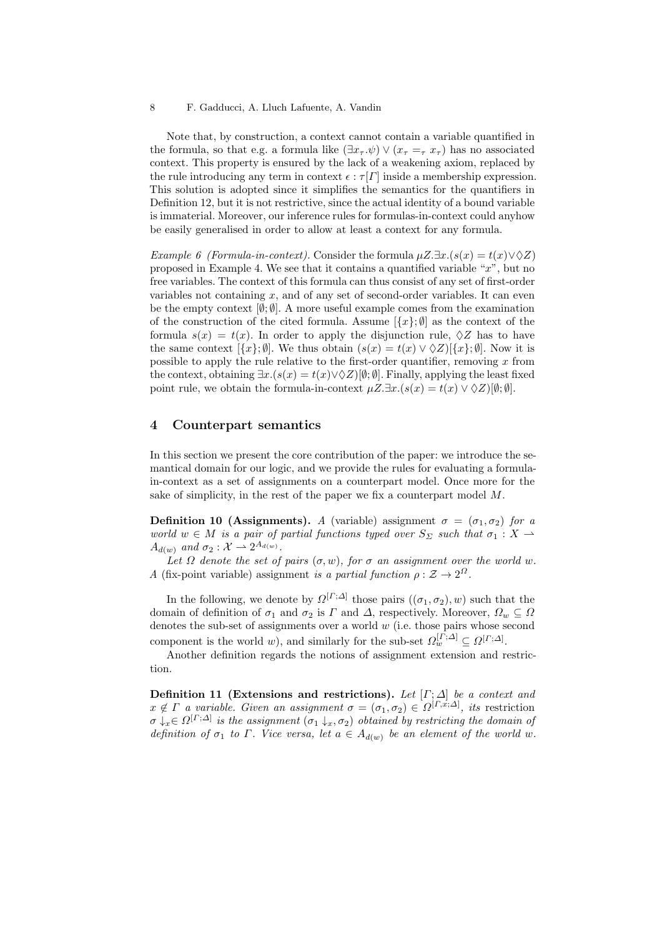#### 8 F. Gadducci, A. Lluch Lafuente, A. Vandin

Note that, by construction, a context cannot contain a variable quantified in the formula, so that e.g. a formula like  $(\exists x_\tau \psi) \vee (x_\tau =_\tau x_\tau)$  has no associated context. This property is ensured by the lack of a weakening axiom, replaced by the rule introducing any term in context  $\epsilon : \tau[T]$  inside a membership expression. This solution is adopted since it simplifies the semantics for the quantifiers in Definition 12, but it is not restrictive, since the actual identity of a bound variable is immaterial. Moreover, our inference rules for formulas-in-context could anyhow be easily generalised in order to allow at least a context for any formula.

Example 6 (Formula-in-context). Consider the formula  $\mu Z.\exists x.(s(x) = t(x)\vee\Diamond Z)$ proposed in Example 4. We see that it contains a quantified variable " $x$ ", but no free variables. The context of this formula can thus consist of any set of first-order variables not containing  $x$ , and of any set of second-order variables. It can even be the empty context  $[\emptyset;\emptyset]$ . A more useful example comes from the examination of the construction of the cited formula. Assume  $[\{x\}; \emptyset]$  as the context of the formula  $s(x) = t(x)$ . In order to apply the disjunction rule,  $\Diamond Z$  has to have the same context  $[\{x\}; \emptyset]$ . We thus obtain  $(s(x) = t(x) \vee \lozenge Z)[\{x\}; \emptyset]$ . Now it is possible to apply the rule relative to the first-order quantifier, removing  $x$  from the context, obtaining  $\exists x.(s(x) = t(x) \vee \Diamond Z)[\emptyset;\emptyset]$ . Finally, applying the least fixed point rule, we obtain the formula-in-context  $\mu Z.\exists x.(s(x) = t(x) \vee \Diamond Z)[\emptyset;\emptyset].$ 

## 4 Counterpart semantics

In this section we present the core contribution of the paper: we introduce the semantical domain for our logic, and we provide the rules for evaluating a formulain-context as a set of assignments on a counterpart model. Once more for the sake of simplicity, in the rest of the paper we fix a counterpart model M.

**Definition 10 (Assignments).** A (variable) assignment  $\sigma = (\sigma_1, \sigma_2)$  for a world  $w \in M$  is a pair of partial functions typed over  $S_{\Sigma}$  such that  $\sigma_1: X \to Y$  $A_{d(w)}$  and  $\sigma_2 : \mathcal{X} \longrightarrow 2^{A_{d(w)}}$ .

Let  $\Omega$  denote the set of pairs  $(\sigma, w)$ , for  $\sigma$  an assignment over the world w. A (fix-point variable) assignment is a partial function  $\rho : \mathcal{Z} \to 2^{\Omega}$ .

In the following, we denote by  $\Omega^{[r;\Delta]}$  those pairs  $((\sigma_1, \sigma_2), w)$  such that the domain of definition of  $\sigma_1$  and  $\sigma_2$  is  $\Gamma$  and  $\Delta$ , respectively. Moreover,  $\Omega_w \subseteq \Omega$ denotes the sub-set of assignments over a world  $w$  (i.e. those pairs whose second component is the world w), and similarly for the sub-set  $\Omega_w^{[\Gamma;\Delta]} \subseteq \Omega^{[\Gamma;\Delta]}$ .

Another definition regards the notions of assignment extension and restriction.

Definition 11 (Extensions and restrictions). Let  $[F; \Delta]$  be a context and  $x \notin \Gamma$  a variable. Given an assignment  $\sigma = (\sigma_1, \sigma_2) \in \Omega^{[\Gamma, x; \Delta]}$ , its restriction  $\sigma\downarrow_x \in \Omega^{[\Gamma;\Delta]}$  is the assignment  $(\sigma_1\downarrow_x, \sigma_2)$  obtained by restricting the domain of definition of  $\sigma_1$  to  $\Gamma$ . Vice versa, let  $a \in A_{d(w)}$  be an element of the world w.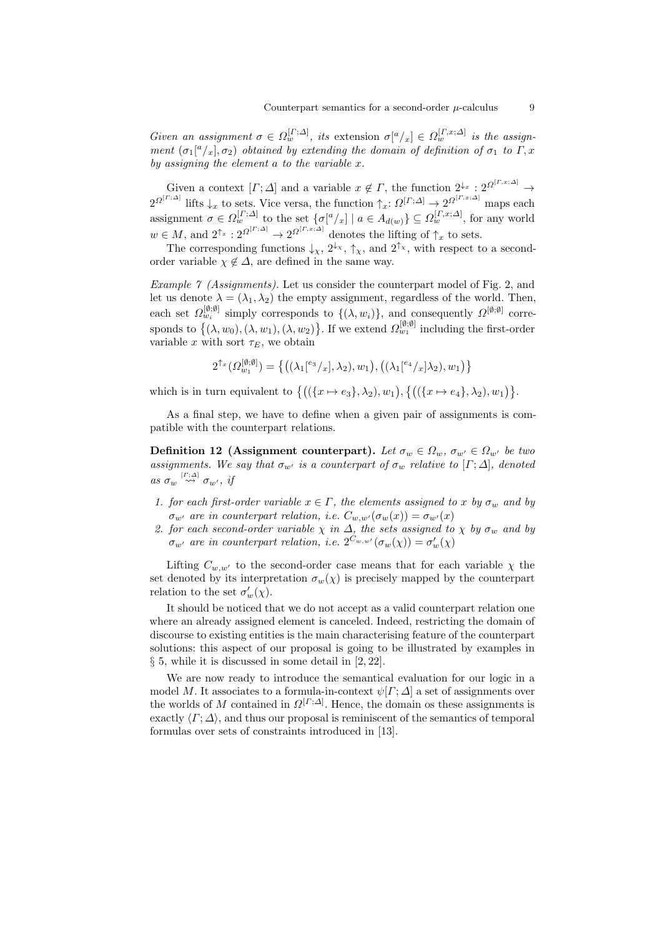Given an assignment  $\sigma \in \Omega_w^{[\Gamma;\Delta]}$ , its extension  $\sigma[^a/_x] \in \Omega_w^{[\Gamma,x;\Delta]}$  is the assignment  $(\sigma_1[^a/<sub>x</sub>], \sigma_2)$  obtained by extending the domain of definition of  $\sigma_1$  to  $\Gamma, x$ by assigning the element  $a$  to the variable  $x$ .

Given a context  $[\Gamma; \Delta]$  and a variable  $x \notin \Gamma$ , the function  $2^{\downarrow_x} : 2^{\Omega^{[\Gamma, x; \Delta]}} \rightarrow$  $2^{\Omega^{[{\Gamma};\Delta]}}$  lifts  $\downarrow_x$  to sets. Vice versa, the function  $\uparrow_x: \Omega^{[{\Gamma};\Delta]} \to 2^{\Omega^{[{\Gamma},x;\Delta]}}$  maps each assignment  $\sigma \in \Omega_w^{[r;\Delta]}$  to the set  $\{\sigma[^a/]<sub>x</sub> \mid a \in A_{d(w)}\} \subseteq \Omega_w^{[r,x;\Delta]}$ , for any world  $w \in M$ , and  $2^{\uparrow_x} : 2^{\Omega^{[\Gamma;\Delta]}} \to 2^{\Omega^{[\Gamma,x;\Delta]}}$  denotes the lifting of  $\uparrow_x$  to sets.

The corresponding functions  $\downarrow_{\chi}$ ,  $2^{\downarrow_{\chi}}$ ,  $\uparrow_{\chi}$ , and  $2^{\uparrow_{\chi}}$ , with respect to a secondorder variable  $\chi \notin \Delta$ , are defined in the same way.

Example 7 (Assignments). Let us consider the counterpart model of Fig. 2, and let us denote  $\lambda = (\lambda_1, \lambda_2)$  the empty assignment, regardless of the world. Then, each set  $\Omega_{w_i}^{[\emptyset,\emptyset]}$  simply corresponds to  $\{(\lambda, w_i)\}\$ , and consequently  $\Omega^{[\emptyset,\emptyset]}$  corresponds to  $\{(\lambda, w_0), (\lambda, w_1), (\lambda, w_2)\}\.$  If we extend  $\Omega_{w_1}^{[\emptyset;\emptyset]}$  including the first-order variable x with sort  $\tau_E$ , we obtain

$$
2^{\uparrow_x}(\varOmega_{w_1}^{[\emptyset;\emptyset]}) = \left\{ \left( (\lambda_1[{}^{e_3}/_x], \lambda_2), w_1 \right), \left( (\lambda_1[{}^{e_4}/_x]\lambda_2), w_1 \right) \right\}
$$

which is in turn equivalent to  $\{((\{x \mapsto e_3\},\lambda_2),w_1),\{((\{x \mapsto e_4\},\lambda_2),w_1)\}.$ 

As a final step, we have to define when a given pair of assignments is compatible with the counterpart relations.

Definition 12 (Assignment counterpart). Let  $\sigma_w \in \Omega_w$ ,  $\sigma_{w'} \in \Omega_{w'}$  be two assignments. We say that  $\sigma_{w'}$  is a counterpart of  $\sigma_w$  relative to  $[\Gamma; \Delta]$ , denoted as  $\sigma_w \stackrel{[{\Gamma};\Delta]}{\leadsto} \sigma_{w'}$ , if

- 1. for each first-order variable  $x \in \Gamma$ , the elements assigned to x by  $\sigma_w$  and by  $\sigma_{w'}$  are in counterpart relation, i.e.  $C_{w,w'}(\sigma_w(x)) = \sigma_{w'}(x)$
- 2. for each second-order variable  $\chi$  in  $\Delta$ , the sets assigned to  $\chi$  by  $\sigma_w$  and by  $\sigma_{w'}$  are in counterpart relation, i.e.  $2^{C_{w,w'}}(\sigma_w(\chi)) = \sigma'_w(\chi)$

Lifting  $C_{w,w'}$  to the second-order case means that for each variable  $\chi$  the set denoted by its interpretation  $\sigma_w(\chi)$  is precisely mapped by the counterpart relation to the set  $\sigma'_w(\chi)$ .

It should be noticed that we do not accept as a valid counterpart relation one where an already assigned element is canceled. Indeed, restricting the domain of discourse to existing entities is the main characterising feature of the counterpart solutions: this aspect of our proposal is going to be illustrated by examples in § 5, while it is discussed in some detail in [2, 22].

We are now ready to introduce the semantical evaluation for our logic in a model M. It associates to a formula-in-context  $\psi[\Gamma;\Delta]$  a set of assignments over the worlds of M contained in  $\Omega^{[r;\Delta]}$ . Hence, the domain os these assignments is exactly  $\langle \Gamma; \Delta \rangle$ , and thus our proposal is reminiscent of the semantics of temporal formulas over sets of constraints introduced in [13].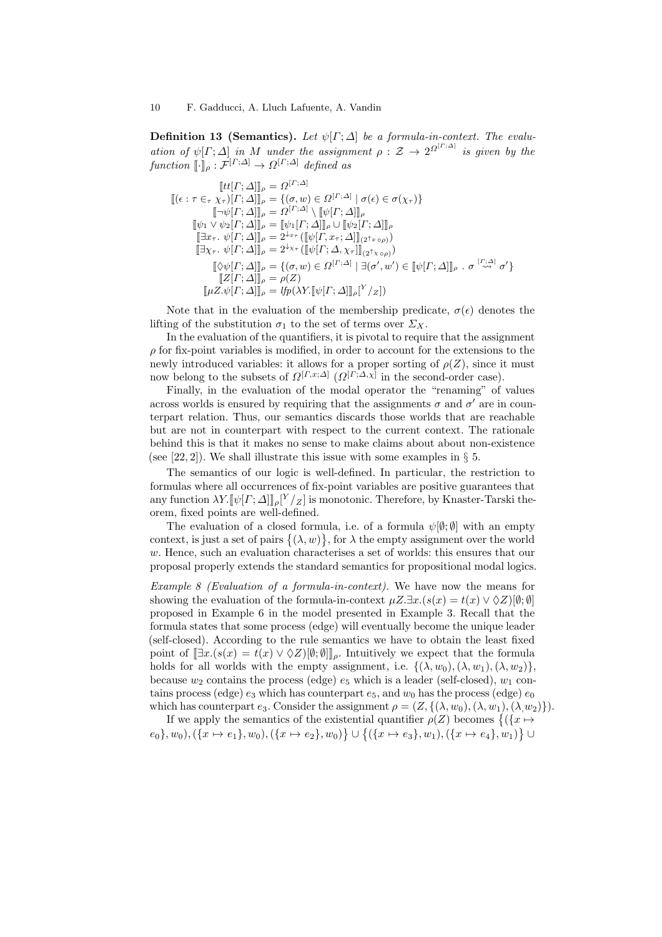#### 10 F. Gadducci, A. Lluch Lafuente, A. Vandin

**Definition 13 (Semantics).** Let  $\psi[\Gamma;\Delta]$  be a formula-in-context. The evaluation of  $\psi[\Gamma;\Delta]$  in M under the assignment  $\rho: \mathcal{Z} \to 2^{\Omega^{[\Gamma;\Delta]}}$  is given by the function  $[\![\cdot]\!]_\rho : \mathcal{F}^{[\Gamma;\Delta]} \to \Omega^{[\Gamma;\Delta]}$  defined as

$$
\begin{aligned}\n\llbracket t[I; \Delta] \rrbracket_{\rho} &= \Omega^{[\Gamma; \Delta]} \\
\llbracket (\epsilon : \tau \in_{\tau} \chi_{\tau}) [T; \Delta] \rrbracket_{\rho} &= \{ (\sigma, w) \in \Omega^{[\Gamma; \Delta]} \mid \sigma(\epsilon) \in \sigma(\chi_{\tau}) \} \\
\llbracket \neg \psi [T; \Delta] \rrbracket_{\rho} &= \Omega^{[\Gamma; \Delta]} \setminus [\![\psi[r; \Delta] ]\!]_{\rho} \\
\llbracket \psi_1 \vee \psi_2 [T; \Delta] \rrbracket_{\rho} &= [\![\psi_1[r; \Delta] ]\!]_{\rho} \cup [\![\psi_2[r; \Delta] ]\!]_{\rho} \\
\llbracket \exists x_{\tau}. \psi [T; \Delta] \rrbracket_{\rho} &= 2^{\downarrow x_{\tau}} \left( [\![\psi[r, x_{\tau}; \Delta] ]\!]_{(2^{\uparrow x} \circ \rho)} \right) \\
\llbracket \exists \chi_{\tau}. \psi [T; \Delta] \rrbracket_{\rho} &= 2^{\downarrow x_{\tau}} \left( [\![\psi[r; \Delta, \chi_{\tau}] \!] \!]_{(2^{\uparrow x} \circ \rho)} \right) \\
\llbracket \Diamond \psi [T; \Delta] \rrbracket_{\rho} &= \{ (\sigma, w) \in \Omega^{[\Gamma; \Delta]} \mid \exists (\sigma', w') \in [\![\psi[r; \Delta] ]\!]_{\rho} \cdot \sigma^{[\Gamma; \Delta]} \sigma' \} \\
\llbracket Z[r; \Delta] \rrbracket_{\rho} &= \rho(Z) \\
\llbracket \mu Z \psi [T; \Delta] \rrbracket_{\rho} &= \text{ifp}(\lambda Y. [\![\psi[r; \Delta] ]\!]_{\rho} [\![Y / z])\n\end{aligned}
$$

Note that in the evaluation of the membership predicate,  $\sigma(\epsilon)$  denotes the lifting of the substitution  $\sigma_1$  to the set of terms over  $\Sigma_X$ .

In the evaluation of the quantifiers, it is pivotal to require that the assignment  $\rho$  for fix-point variables is modified, in order to account for the extensions to the newly introduced variables: it allows for a proper sorting of  $\rho(Z)$ , since it must now belong to the subsets of  $\Omega^{[r,x;\Delta]}$   $(\Omega^{[r;\Delta,\chi]}$  in the second-order case).

Finally, in the evaluation of the modal operator the "renaming" of values across worlds is ensured by requiring that the assignments  $\sigma$  and  $\sigma'$  are in counterpart relation. Thus, our semantics discards those worlds that are reachable but are not in counterpart with respect to the current context. The rationale behind this is that it makes no sense to make claims about about non-existence (see [22, 2]). We shall illustrate this issue with some examples in  $\S$  5.

The semantics of our logic is well-defined. In particular, the restriction to formulas where all occurrences of fix-point variables are positive guarantees that any function  $\lambda Y. [\![\psi[\Gamma;\Delta]]\!]_{\rho} [Y/_{Z}]$  is monotonic. Therefore, by Knaster-Tarski theorem, fixed points are well-defined.

The evaluation of a closed formula, i.e. of a formula  $\psi[\emptyset;\emptyset]$  with an empty context, is just a set of pairs  $\{(\lambda, w)\}\$ , for  $\lambda$  the empty assignment over the world w. Hence, such an evaluation characterises a set of worlds: this ensures that our proposal properly extends the standard semantics for propositional modal logics.

Example 8 (Evaluation of a formula-in-context). We have now the means for showing the evaluation of the formula-in-context  $\mu Z.\exists x.(s(x) = t(x) \vee \Diamond Z)[\emptyset;\emptyset]$ proposed in Example 6 in the model presented in Example 3. Recall that the formula states that some process (edge) will eventually become the unique leader (self-closed). According to the rule semantics we have to obtain the least fixed point of  $[\exists x.(s(x) = t(x) \vee \Diamond Z)[\emptyset;\emptyset]]_{\rho}$ . Intuitively we expect that the formula holds for all worlds with the empty assignment, i.e.  $\{(\lambda, w_0), (\lambda, w_1), (\lambda, w_2)\},$ because  $w_2$  contains the process (edge)  $e_5$  which is a leader (self-closed),  $w_1$  contains process (edge)  $e_3$  which has counterpart  $e_5$ , and  $w_0$  has the process (edge)  $e_0$ which has counterpart  $e_3$ . Consider the assignment  $\rho = (Z, \{(\lambda, w_0), (\lambda, w_1), (\lambda, w_2)\})$ .

If we apply the semantics of the existential quantifier  $\rho(Z)$  becomes  $\{(x \mapsto$  $(e_0\}, w_0), (\{x \mapsto e_1\}, w_0), (\{x \mapsto e_2\}, w_0)\} \cup \{(\{x \mapsto e_3\}, w_1), (\{x \mapsto e_4\}, w_1)\} \cup$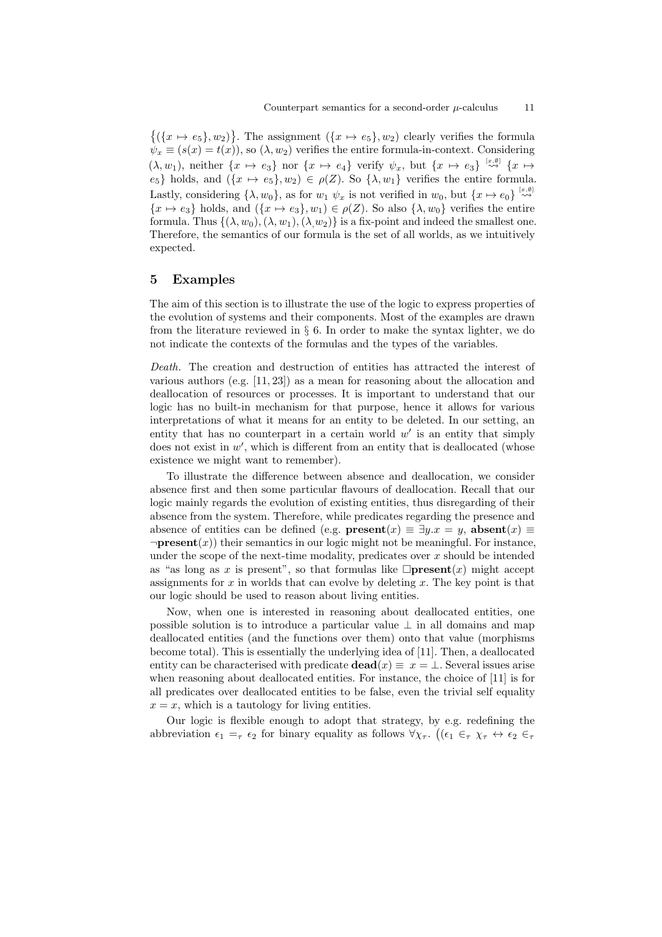$\{(x \mapsto e_5, w_2)\}\.$  The assignment  $(\{x \mapsto e_5\}, w_2)$  clearly verifies the formula  $\psi_x \equiv (s(x) = t(x))$ , so  $(\lambda, w_2)$  verifies the entire formula-in-context. Considering  $(\lambda, w_1)$ , neither  $\{x \mapsto e_3\}$  nor  $\{x \mapsto e_4\}$  verify  $\psi_x$ , but  $\{x \mapsto e_3\} \stackrel{[x,\emptyset]}{\leadsto} \{x \mapsto e_3\}$  $e_5$ } holds, and  $(\lbrace x \mapsto e_5 \rbrace, w_2) \in \rho(Z)$ . So  $\lbrace \lambda, w_1 \rbrace$  verifies the entire formula. Lastly, considering  $\{\lambda, w_0\}$ , as for  $w_1 \psi_x$  is not verified in  $w_0$ , but  $\{x \mapsto e_0\} \stackrel{[x,\emptyset]}{\sim}$  ${x \mapsto e_3}$  holds, and  $({x \mapsto e_3}, w_1) \in \rho(Z)$ . So also  ${\lambda, w_0}$  verifies the entire formula. Thus  $\{(\lambda, w_0), (\lambda, w_1), (\lambda, w_2)\}$  is a fix-point and indeed the smallest one. Therefore, the semantics of our formula is the set of all worlds, as we intuitively expected.

## 5 Examples

The aim of this section is to illustrate the use of the logic to express properties of the evolution of systems and their components. Most of the examples are drawn from the literature reviewed in  $\S 6$ . In order to make the syntax lighter, we do not indicate the contexts of the formulas and the types of the variables.

Death. The creation and destruction of entities has attracted the interest of various authors (e.g. [11, 23]) as a mean for reasoning about the allocation and deallocation of resources or processes. It is important to understand that our logic has no built-in mechanism for that purpose, hence it allows for various interpretations of what it means for an entity to be deleted. In our setting, an entity that has no counterpart in a certain world  $w'$  is an entity that simply does not exist in  $w'$ , which is different from an entity that is deallocated (whose existence we might want to remember).

To illustrate the difference between absence and deallocation, we consider absence first and then some particular flavours of deallocation. Recall that our logic mainly regards the evolution of existing entities, thus disregarding of their absence from the system. Therefore, while predicates regarding the presence and absence of entities can be defined (e.g.  $\mathbf{present}(x) \equiv \exists y \cdot x = y$ ,  $\mathbf{absent}(x) \equiv$  $\neg$ **present** $(x)$ ) their semantics in our logic might not be meaningful. For instance, under the scope of the next-time modality, predicates over  $x$  should be intended as "as long as x is present", so that formulas like  $\Box$ **present** $(x)$  might accept assignments for x in worlds that can evolve by deleting x. The key point is that our logic should be used to reason about living entities.

Now, when one is interested in reasoning about deallocated entities, one possible solution is to introduce a particular value  $\perp$  in all domains and map deallocated entities (and the functions over them) onto that value (morphisms become total). This is essentially the underlying idea of [11]. Then, a deallocated entity can be characterised with predicate  $\textbf{dead}(x) \equiv x = \perp$ . Several issues arise when reasoning about deallocated entities. For instance, the choice of [11] is for all predicates over deallocated entities to be false, even the trivial self equality  $x = x$ , which is a tautology for living entities.

Our logic is flexible enough to adopt that strategy, by e.g. redefining the abbreviation  $\epsilon_1 =_\tau \epsilon_2$  for binary equality as follows  $\forall \chi_{\tau}$ .  $((\epsilon_1 \in_\tau \chi_{\tau} \leftrightarrow \epsilon_2 \in_\tau \pi))$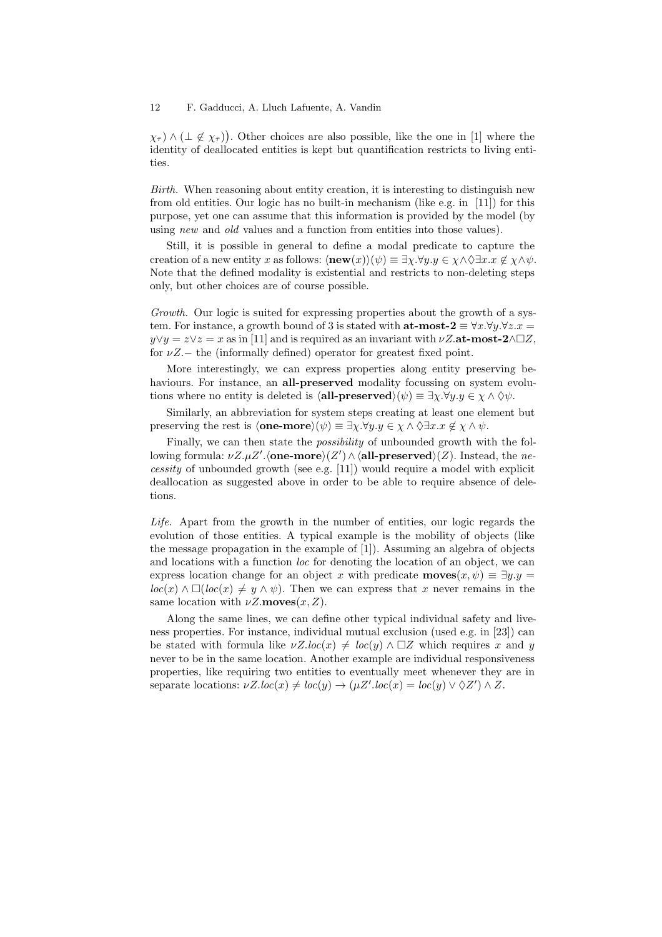#### 12 F. Gadducci, A. Lluch Lafuente, A. Vandin

 $(\chi_{\tau}) \wedge (\perp \notin \chi_{\tau})$ . Other choices are also possible, like the one in [1] where the identity of deallocated entities is kept but quantification restricts to living entities.

Birth. When reasoning about entity creation, it is interesting to distinguish new from old entities. Our logic has no built-in mechanism (like e.g. in [11]) for this purpose, yet one can assume that this information is provided by the model (by using new and old values and a function from entities into those values).

Still, it is possible in general to define a modal predicate to capture the creation of a new entity x as follows:  $\langle \mathbf{new}(x)\rangle(\psi) \equiv \exists \chi \forall y. y \in \chi \land \Diamond \exists x. x \notin \chi \land \psi$ . Note that the defined modality is existential and restricts to non-deleting steps only, but other choices are of course possible.

Growth. Our logic is suited for expressing properties about the growth of a system. For instance, a growth bound of 3 is stated with **at-most-2**  $\equiv \forall x.\forall y.\forall z.x$  $y\vee y = z\vee z = x$  as in [11] and is required as an invariant with  $\nu Z$ . **at-most-2**∧ $\Box Z$ , for  $\nu Z$  – the (informally defined) operator for greatest fixed point.

More interestingly, we can express properties along entity preserving behaviours. For instance, an all-preserved modality focussing on system evolutions where no entity is deleted is  $\langle \textbf{all-preserved} \rangle(\psi) \equiv \exists \chi. \forall y. y \in \chi \land \Diamond \psi$ .

Similarly, an abbreviation for system steps creating at least one element but preserving the rest is  $\langle \mathbf{one\text{-}more} \rangle(\psi) \equiv \exists \chi.\forall y. y \in \chi \wedge \sqrt{\exists x. x \notin \chi \wedge \psi}.$ 

Finally, we can then state the *possibility* of unbounded growth with the following formula:  $\nu Z.\mu Z'.\langle \textbf{one-more} \rangle(Z') \wedge \langle \textbf{all-preserved} \rangle(Z)$ . Instead, the necessity of unbounded growth (see e.g. [11]) would require a model with explicit deallocation as suggested above in order to be able to require absence of deletions.

Life. Apart from the growth in the number of entities, our logic regards the evolution of those entities. A typical example is the mobility of objects (like the message propagation in the example of [1]). Assuming an algebra of objects and locations with a function loc for denoting the location of an object, we can express location change for an object x with predicate **moves** $(x, \psi) \equiv \exists y \cdot y$  $loc(x) \wedge \Box (loc(x) \neq y \wedge \psi)$ . Then we can express that x never remains in the same location with  $\nu Z$ .moves $(x, Z)$ .

Along the same lines, we can define other typical individual safety and liveness properties. For instance, individual mutual exclusion (used e.g. in [23]) can be stated with formula like  $\nu Zloc(x) \neq loc(y) \wedge \Box Z$  which requires x and y never to be in the same location. Another example are individual responsiveness properties, like requiring two entities to eventually meet whenever they are in separate locations:  $\nu Z. loc(x) \neq loc(y) \rightarrow (\mu Z'. loc(x) = loc(y) \vee \Diamond Z') \wedge Z$ .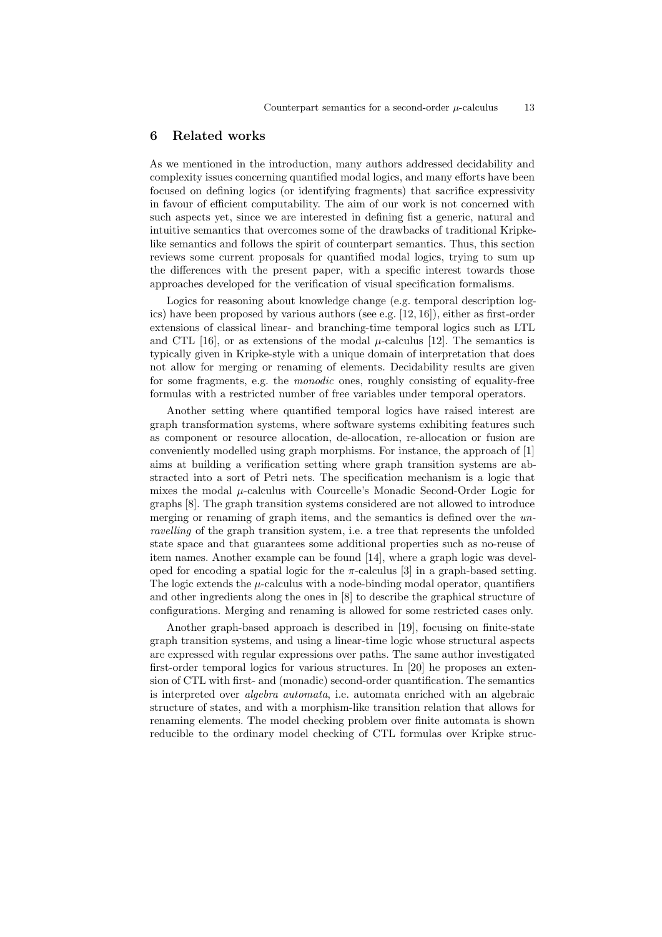## 6 Related works

As we mentioned in the introduction, many authors addressed decidability and complexity issues concerning quantified modal logics, and many efforts have been focused on defining logics (or identifying fragments) that sacrifice expressivity in favour of efficient computability. The aim of our work is not concerned with such aspects yet, since we are interested in defining fist a generic, natural and intuitive semantics that overcomes some of the drawbacks of traditional Kripkelike semantics and follows the spirit of counterpart semantics. Thus, this section reviews some current proposals for quantified modal logics, trying to sum up the differences with the present paper, with a specific interest towards those approaches developed for the verification of visual specification formalisms.

Logics for reasoning about knowledge change (e.g. temporal description logics) have been proposed by various authors (see e.g. [12, 16]), either as first-order extensions of classical linear- and branching-time temporal logics such as LTL and CTL [16], or as extensions of the modal  $\mu$ -calculus [12]. The semantics is typically given in Kripke-style with a unique domain of interpretation that does not allow for merging or renaming of elements. Decidability results are given for some fragments, e.g. the monodic ones, roughly consisting of equality-free formulas with a restricted number of free variables under temporal operators.

Another setting where quantified temporal logics have raised interest are graph transformation systems, where software systems exhibiting features such as component or resource allocation, de-allocation, re-allocation or fusion are conveniently modelled using graph morphisms. For instance, the approach of [1] aims at building a verification setting where graph transition systems are abstracted into a sort of Petri nets. The specification mechanism is a logic that mixes the modal  $\mu$ -calculus with Courcelle's Monadic Second-Order Logic for graphs [8]. The graph transition systems considered are not allowed to introduce merging or renaming of graph items, and the semantics is defined over the unravelling of the graph transition system, i.e. a tree that represents the unfolded state space and that guarantees some additional properties such as no-reuse of item names. Another example can be found [14], where a graph logic was developed for encoding a spatial logic for the  $\pi$ -calculus [3] in a graph-based setting. The logic extends the  $\mu$ -calculus with a node-binding modal operator, quantifiers and other ingredients along the ones in [8] to describe the graphical structure of configurations. Merging and renaming is allowed for some restricted cases only.

Another graph-based approach is described in [19], focusing on finite-state graph transition systems, and using a linear-time logic whose structural aspects are expressed with regular expressions over paths. The same author investigated first-order temporal logics for various structures. In [20] he proposes an extension of CTL with first- and (monadic) second-order quantification. The semantics is interpreted over algebra automata, i.e. automata enriched with an algebraic structure of states, and with a morphism-like transition relation that allows for renaming elements. The model checking problem over finite automata is shown reducible to the ordinary model checking of CTL formulas over Kripke struc-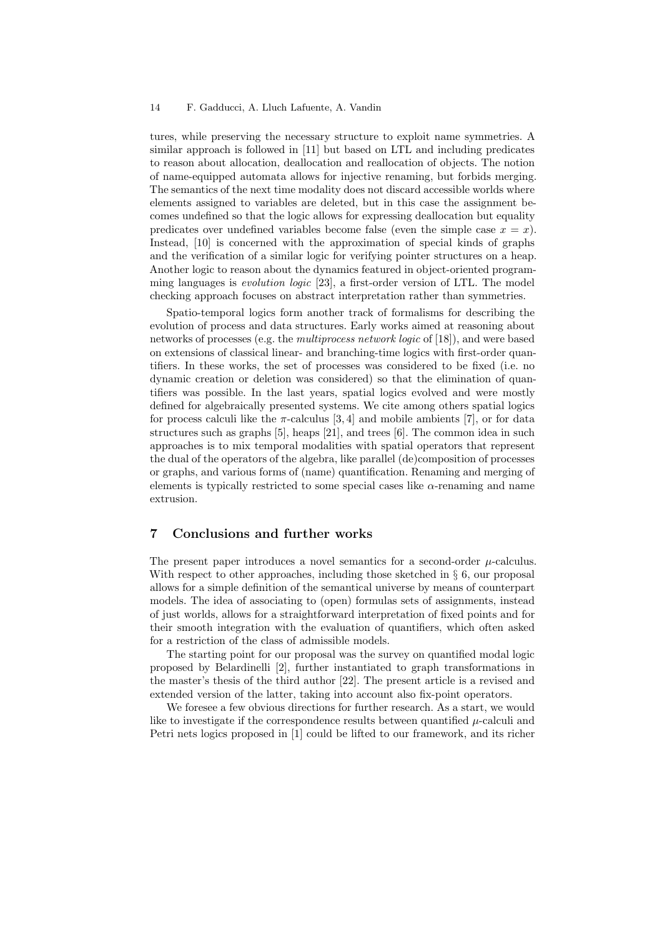tures, while preserving the necessary structure to exploit name symmetries. A similar approach is followed in [11] but based on LTL and including predicates to reason about allocation, deallocation and reallocation of objects. The notion of name-equipped automata allows for injective renaming, but forbids merging. The semantics of the next time modality does not discard accessible worlds where elements assigned to variables are deleted, but in this case the assignment becomes undefined so that the logic allows for expressing deallocation but equality predicates over undefined variables become false (even the simple case  $x = x$ ). Instead, [10] is concerned with the approximation of special kinds of graphs and the verification of a similar logic for verifying pointer structures on a heap. Another logic to reason about the dynamics featured in object-oriented programming languages is evolution logic [23], a first-order version of LTL. The model checking approach focuses on abstract interpretation rather than symmetries.

Spatio-temporal logics form another track of formalisms for describing the evolution of process and data structures. Early works aimed at reasoning about networks of processes (e.g. the multiprocess network logic of [18]), and were based on extensions of classical linear- and branching-time logics with first-order quantifiers. In these works, the set of processes was considered to be fixed (i.e. no dynamic creation or deletion was considered) so that the elimination of quantifiers was possible. In the last years, spatial logics evolved and were mostly defined for algebraically presented systems. We cite among others spatial logics for process calculi like the  $\pi$ -calculus [3, 4] and mobile ambients [7], or for data structures such as graphs [5], heaps [21], and trees [6]. The common idea in such approaches is to mix temporal modalities with spatial operators that represent the dual of the operators of the algebra, like parallel (de)composition of processes or graphs, and various forms of (name) quantification. Renaming and merging of elements is typically restricted to some special cases like  $\alpha$ -renaming and name extrusion.

## 7 Conclusions and further works

The present paper introduces a novel semantics for a second-order  $\mu$ -calculus. With respect to other approaches, including those sketched in  $\S 6$ , our proposal allows for a simple definition of the semantical universe by means of counterpart models. The idea of associating to (open) formulas sets of assignments, instead of just worlds, allows for a straightforward interpretation of fixed points and for their smooth integration with the evaluation of quantifiers, which often asked for a restriction of the class of admissible models.

The starting point for our proposal was the survey on quantified modal logic proposed by Belardinelli [2], further instantiated to graph transformations in the master's thesis of the third author [22]. The present article is a revised and extended version of the latter, taking into account also fix-point operators.

We foresee a few obvious directions for further research. As a start, we would like to investigate if the correspondence results between quantified  $\mu$ -calculi and Petri nets logics proposed in [1] could be lifted to our framework, and its richer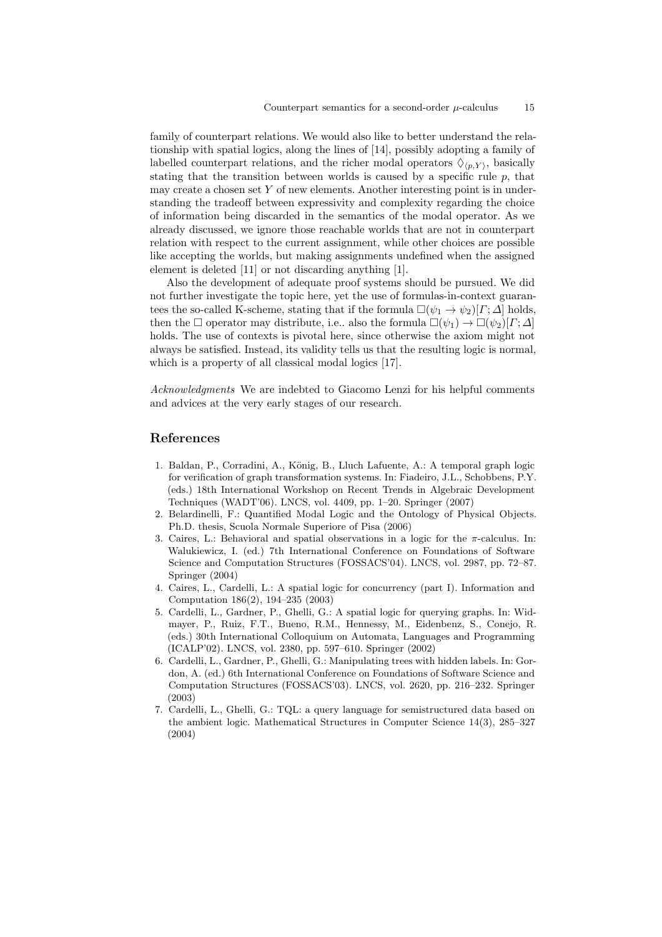family of counterpart relations. We would also like to better understand the relationship with spatial logics, along the lines of [14], possibly adopting a family of labelled counterpart relations, and the richer modal operators  $\Diamond_{(p,Y)}$ , basically stating that the transition between worlds is caused by a specific rule  $p$ , that may create a chosen set Y of new elements. Another interesting point is in understanding the tradeoff between expressivity and complexity regarding the choice of information being discarded in the semantics of the modal operator. As we already discussed, we ignore those reachable worlds that are not in counterpart relation with respect to the current assignment, while other choices are possible like accepting the worlds, but making assignments undefined when the assigned element is deleted [11] or not discarding anything [1].

Also the development of adequate proof systems should be pursued. We did not further investigate the topic here, yet the use of formulas-in-context guarantees the so-called K-scheme, stating that if the formula  $\square(\psi_1 \to \psi_2)[\Gamma; \Delta]$  holds, then the  $\Box$  operator may distribute, i.e., also the formula  $\Box(\psi_1) \rightarrow \Box(\psi_2)[\Gamma; \Delta]$ holds. The use of contexts is pivotal here, since otherwise the axiom might not always be satisfied. Instead, its validity tells us that the resulting logic is normal, which is a property of all classical modal logics [17].

Acknowledgments We are indebted to Giacomo Lenzi for his helpful comments and advices at the very early stages of our research.

## References

- 1. Baldan, P., Corradini, A., König, B., Lluch Lafuente, A.: A temporal graph logic for verification of graph transformation systems. In: Fiadeiro, J.L., Schobbens, P.Y. (eds.) 18th International Workshop on Recent Trends in Algebraic Development Techniques (WADT'06). LNCS, vol. 4409, pp. 1–20. Springer (2007)
- 2. Belardinelli, F.: Quantified Modal Logic and the Ontology of Physical Objects. Ph.D. thesis, Scuola Normale Superiore of Pisa (2006)
- 3. Caires, L.: Behavioral and spatial observations in a logic for the  $\pi$ -calculus. In: Walukiewicz, I. (ed.) 7th International Conference on Foundations of Software Science and Computation Structures (FOSSACS'04). LNCS, vol. 2987, pp. 72–87. Springer (2004)
- 4. Caires, L., Cardelli, L.: A spatial logic for concurrency (part I). Information and Computation 186(2), 194–235 (2003)
- 5. Cardelli, L., Gardner, P., Ghelli, G.: A spatial logic for querying graphs. In: Widmayer, P., Ruiz, F.T., Bueno, R.M., Hennessy, M., Eidenbenz, S., Conejo, R. (eds.) 30th International Colloquium on Automata, Languages and Programming (ICALP'02). LNCS, vol. 2380, pp. 597–610. Springer (2002)
- 6. Cardelli, L., Gardner, P., Ghelli, G.: Manipulating trees with hidden labels. In: Gordon, A. (ed.) 6th International Conference on Foundations of Software Science and Computation Structures (FOSSACS'03). LNCS, vol. 2620, pp. 216–232. Springer (2003)
- 7. Cardelli, L., Ghelli, G.: TQL: a query language for semistructured data based on the ambient logic. Mathematical Structures in Computer Science 14(3), 285–327 (2004)